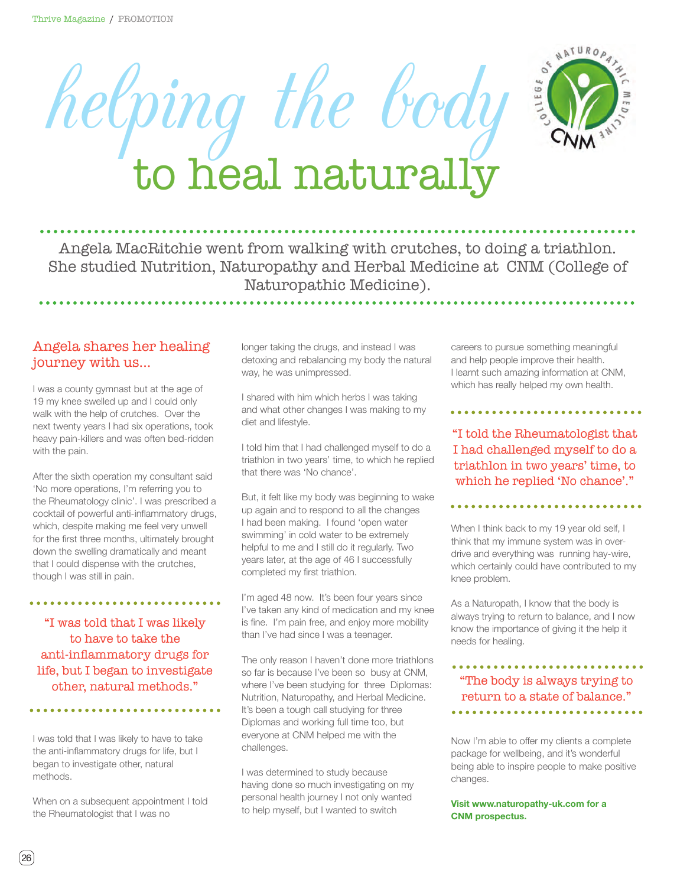



## Angela MacRitchie went from walking with crutches, to doing a triathlon. She studied Nutrition, Naturopathy and Herbal Medicine at CNM (College of Naturopathic Medicine).

## Angela shares her healing journey with us...

I was a county gymnast but at the age of 19 my knee swelled up and I could only walk with the help of crutches. Over the next twenty years I had six operations, took heavy pain-killers and was often bed-ridden with the pain.

After the sixth operation my consultant said 'No more operations, I'm referring you to the Rheumatology clinic'. I was prescribed a cocktail of powerful anti-inflammatory drugs, which, despite making me feel very unwell for the first three months, ultimately brought down the swelling dramatically and meant that I could dispense with the crutches, though I was still in pain.

"I was told that I was likely to have to take the anti-inflammatory drugs for life, but I began to investigate other, natural methods."

I was told that I was likely to have to take the anti-inflammatory drugs for life, but I began to investigate other, natural methods.

When on a subsequent appointment I told the Rheumatologist that I was no

longer taking the drugs, and instead I was detoxing and rebalancing my body the natural way, he was unimpressed.

I shared with him which herbs I was taking and what other changes I was making to my diet and lifestyle.

I told him that I had challenged myself to do a triathlon in two years' time, to which he replied that there was 'No chance'.

But, it felt like my body was beginning to wake up again and to respond to all the changes I had been making. I found 'open water swimming' in cold water to be extremely helpful to me and I still do it regularly. Two years later, at the age of 46 I successfully completed my first triathlon.

I'm aged 48 now. It's been four years since I've taken any kind of medication and my knee is fine. I'm pain free, and enjoy more mobility than I've had since I was a teenager.

The only reason I haven't done more triathlons so far is because I've been so busy at CNM, where I've been studying for three Diplomas: Nutrition, Naturopathy, and Herbal Medicine. It's been a tough call studying for three Diplomas and working full time too, but everyone at CNM helped me with the challenges.

I was determined to study because having done so much investigating on my personal health journey I not only wanted to help myself, but I wanted to switch

careers to pursue something meaningful and help people improve their health. I learnt such amazing information at CNM, which has really helped my own health.

\*\*\*\*\*\*\*\*\*\*\*\*\*\*\*\*\*\*\*\*\*\*\*\*

"I told the Rheumatologist that I had challenged myself to do a triathlon in two years' time, to which he replied 'No chance'."

When I think back to my 19 year old self, I think that my immune system was in overdrive and everything was running hay-wire, which certainly could have contributed to my knee problem.

As a Naturopath, I know that the body is always trying to return to balance, and I now know the importance of giving it the help it needs for healing.

## "The body is always trying to return to a state of balance."

Now I'm able to offer my clients a complete package for wellbeing, and it's wonderful being able to inspire people to make positive changes.

**Visit www.naturopathy-uk.com for a CNM prospectus.**